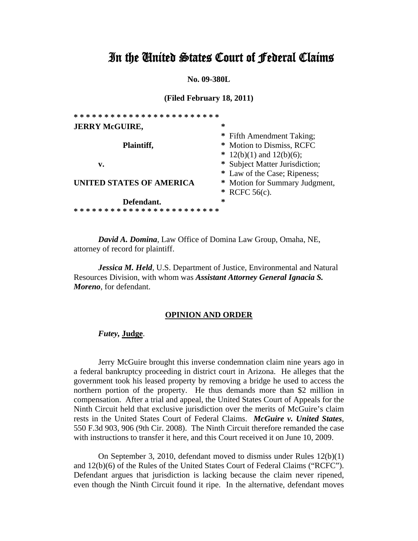# In the United States Court of Federal Claims

**No. 09-380L** 

**(Filed February 18, 2011)** 

| ************************ |   |                                |
|--------------------------|---|--------------------------------|
| <b>JERRY McGUIRE,</b>    | ∗ |                                |
|                          |   | * Fifth Amendment Taking;      |
| Plaintiff,               |   | * Motion to Dismiss, RCFC      |
|                          |   | $* 12(b)(1)$ and $12(b)(6)$ ;  |
| v.                       |   | * Subject Matter Jurisdiction; |
|                          |   | * Law of the Case; Ripeness;   |
| UNITED STATES OF AMERICA |   | * Motion for Summary Judgment, |
|                          |   | * RCFC $56(c)$ .               |
| Defendant.               | ∗ |                                |
| *******************      |   |                                |

*David A. Domina*, Law Office of Domina Law Group, Omaha, NE, attorney of record for plaintiff.

*Jessica M. Held*, U.S. Department of Justice, Environmental and Natural Resources Division, with whom was *Assistant Attorney General Ignacia S. Moreno*, for defendant.

# **OPINION AND ORDER**

## *Futey,* **Judge**.

Jerry McGuire brought this inverse condemnation claim nine years ago in a federal bankruptcy proceeding in district court in Arizona. He alleges that the government took his leased property by removing a bridge he used to access the northern portion of the property. He thus demands more than \$2 million in compensation. After a trial and appeal, the United States Court of Appeals for the Ninth Circuit held that exclusive jurisdiction over the merits of McGuire's claim rests in the United States Court of Federal Claims. *McGuire v. United States*, 550 F.3d 903, 906 (9th Cir. 2008). The Ninth Circuit therefore remanded the case with instructions to transfer it here, and this Court received it on June 10, 2009.

On September 3, 2010, defendant moved to dismiss under Rules 12(b)(1) and 12(b)(6) of the Rules of the United States Court of Federal Claims ("RCFC"). Defendant argues that jurisdiction is lacking because the claim never ripened, even though the Ninth Circuit found it ripe. In the alternative, defendant moves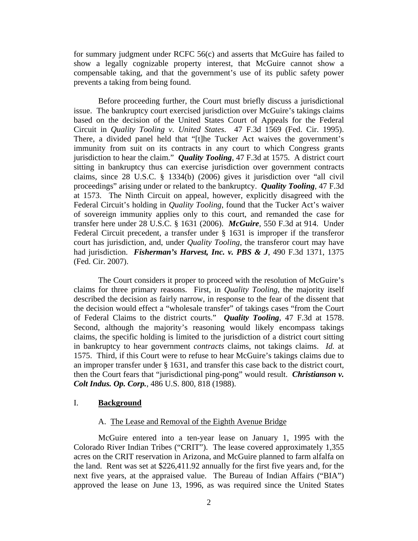for summary judgment under RCFC 56(c) and asserts that McGuire has failed to show a legally cognizable property interest, that McGuire cannot show a compensable taking, and that the government's use of its public safety power prevents a taking from being found.

Before proceeding further, the Court must briefly discuss a jurisdictional issue. The bankruptcy court exercised jurisdiction over McGuire's takings claims based on the decision of the United States Court of Appeals for the Federal Circuit in *Quality Tooling v. United States*. 47 F.3d 1569 (Fed. Cir. 1995). There, a divided panel held that "[t]he Tucker Act waives the government's immunity from suit on its contracts in any court to which Congress grants jurisdiction to hear the claim." *Quality Tooling*, 47 F.3d at 1575. A district court sitting in bankruptcy thus can exercise jurisdiction over government contracts claims, since 28 U.S.C. § 1334(b) (2006) gives it jurisdiction over "all civil proceedings" arising under or related to the bankruptcy. *Quality Tooling*, 47 F.3d at 1573. The Ninth Circuit on appeal, however, explicitly disagreed with the Federal Circuit's holding in *Quality Tooling*, found that the Tucker Act's waiver of sovereign immunity applies only to this court, and remanded the case for transfer here under 28 U.S.C. § 1631 (2006). *McGuire*, 550 F.3d at 914. Under Federal Circuit precedent, a transfer under § 1631 is improper if the transferor court has jurisdiction, and, under *Quality Tooling*, the transferor court may have had jurisdiction. *Fisherman's Harvest, Inc. v. PBS & J*, 490 F.3d 1371, 1375 (Fed. Cir. 2007).

The Court considers it proper to proceed with the resolution of McGuire's claims for three primary reasons. First, in *Quality Tooling*, the majority itself described the decision as fairly narrow, in response to the fear of the dissent that the decision would effect a "wholesale transfer" of takings cases "from the Court of Federal Claims to the district courts." *Quality Tooling*, 47 F.3d at 1578. Second, although the majority's reasoning would likely encompass takings claims, the specific holding is limited to the jurisdiction of a district court sitting in bankruptcy to hear government *contracts* claims, not takings claims. *Id.* at 1575. Third, if this Court were to refuse to hear McGuire's takings claims due to an improper transfer under § 1631, and transfer this case back to the district court, then the Court fears that "jurisdictional ping-pong" would result. *Christianson v. Colt Indus. Op. Corp.*, 486 U.S. 800, 818 (1988).

# I. **Background**

#### A. The Lease and Removal of the Eighth Avenue Bridge

McGuire entered into a ten-year lease on January 1, 1995 with the Colorado River Indian Tribes ("CRIT"). The lease covered approximately 1,355 acres on the CRIT reservation in Arizona, and McGuire planned to farm alfalfa on the land. Rent was set at \$226,411.92 annually for the first five years and, for the next five years, at the appraised value. The Bureau of Indian Affairs ("BIA") approved the lease on June 13, 1996, as was required since the United States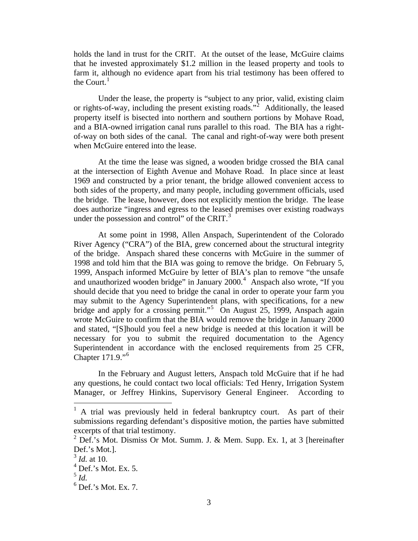holds the land in trust for the CRIT. At the outset of the lease, McGuire claims that he invested approximately \$1.2 million in the leased property and tools to farm it, although no evidence apart from his trial testimony has been offered to the Court. $<sup>1</sup>$  $<sup>1</sup>$  $<sup>1</sup>$ </sup>

Under the lease, the property is "subject to any prior, valid, existing claim or rights-of-way, including the present existing roads."[2](#page-2-1) Additionally, the leased property itself is bisected into northern and southern portions by Mohave Road, and a BIA-owned irrigation canal runs parallel to this road. The BIA has a rightof-way on both sides of the canal. The canal and right-of-way were both present when McGuire entered into the lease.

At the time the lease was signed, a wooden bridge crossed the BIA canal at the intersection of Eighth Avenue and Mohave Road. In place since at least 1969 and constructed by a prior tenant, the bridge allowed convenient access to both sides of the property, and many people, including government officials, used the bridge. The lease, however, does not explicitly mention the bridge. The lease does authorize "ingress and egress to the leased premises over existing roadways under the possession and control" of the CRIT. $3$ 

At some point in 1998, Allen Anspach, Superintendent of the Colorado River Agency ("CRA") of the BIA, grew concerned about the structural integrity of the bridge. Anspach shared these concerns with McGuire in the summer of 1998 and told him that the BIA was going to remove the bridge. On February 5, 1999, Anspach informed McGuire by letter of BIA's plan to remove "the unsafe and unauthorized wooden bridge" in January 2000.<sup>[4](#page-2-3)</sup> Anspach also wrote, "If you should decide that you need to bridge the canal in order to operate your farm you may submit to the Agency Superintendent plans, with specifications, for a new bridge and apply for a crossing permit."<sup>[5](#page-2-4)</sup> On August 25, 1999, Anspach again wrote McGuire to confirm that the BIA would remove the bridge in January 2000 and stated, "[S]hould you feel a new bridge is needed at this location it will be necessary for you to submit the required documentation to the Agency Superintendent in accordance with the enclosed requirements from 25 CFR, Chapter 171.9."<sup>[6](#page-2-5)</sup>

In the February and August letters, Anspach told McGuire that if he had any questions, he could contact two local officials: Ted Henry, Irrigation System Manager, or Jeffrey Hinkins, Supervisory General Engineer. According to

<span id="page-2-0"></span><sup>&</sup>lt;sup>1</sup> A trial was previously held in federal bankruptcy court. As part of their submissions regarding defendant's dispositive motion, the parties have submitted excerpts of that trial testimony.

<span id="page-2-1"></span><sup>&</sup>lt;sup>2</sup> Def.'s Mot. Dismiss Or Mot. Summ. J. & Mem. Supp. Ex. 1, at 3 [hereinafter Def.'s Mot.].

<span id="page-2-2"></span><sup>3</sup> *Id.* at 10.

<span id="page-2-3"></span> $<sup>4</sup>$  Def.'s Mot. Ex. 5.</sup>

 $^5$  *Id.* 

<span id="page-2-5"></span><span id="page-2-4"></span> $<sup>6</sup>$  Def.'s Mot. Ex. 7.</sup>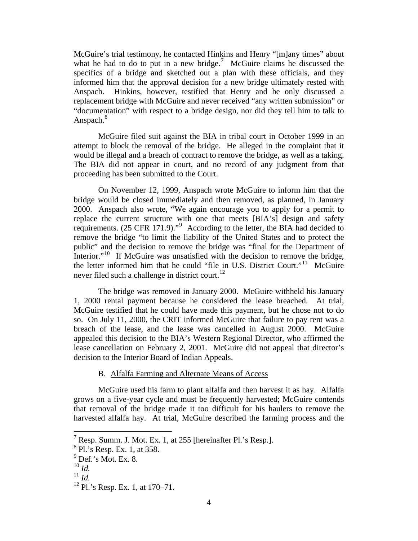McGuire's trial testimony, he contacted Hinkins and Henry "[m]any times" about what he had to do to put in a new bridge.<sup>[7](#page-3-0)</sup> McGuire claims he discussed the specifics of a bridge and sketched out a plan with these officials, and they informed him that the approval decision for a new bridge ultimately rested with Anspach. Hinkins, however, testified that Henry and he only discussed a replacement bridge with McGuire and never received "any written submission" or "documentation" with respect to a bridge design, nor did they tell him to talk to Anspach.<sup>[8](#page-3-1)</sup>

McGuire filed suit against the BIA in tribal court in October 1999 in an attempt to block the removal of the bridge. He alleged in the complaint that it would be illegal and a breach of contract to remove the bridge, as well as a taking. The BIA did not appear in court, and no record of any judgment from that proceeding has been submitted to the Court.

On November 12, 1999, Anspach wrote McGuire to inform him that the bridge would be closed immediately and then removed, as planned, in January 2000. Anspach also wrote, "We again encourage you to apply for a permit to replace the current structure with one that meets [BIA's] design and safety requirements. (25 CFR 171.[9](#page-3-2))."<sup>9</sup> According to the letter, the BIA had decided to remove the bridge "to limit the liability of the United States and to protect the public" and the decision to remove the bridge was "final for the Department of Interior."<sup>[10](#page-3-3)</sup> If McGuire was unsatisfied with the decision to remove the bridge, the letter informed him that he could "file in U.S. District Court."<sup>[11](#page-3-4)</sup> McGuire never filed such a challenge in district court.<sup>[12](#page-3-5)</sup>

The bridge was removed in January 2000. McGuire withheld his January 1, 2000 rental payment because he considered the lease breached. At trial, McGuire testified that he could have made this payment, but he chose not to do so. On July 11, 2000, the CRIT informed McGuire that failure to pay rent was a breach of the lease, and the lease was cancelled in August 2000. McGuire appealed this decision to the BIA's Western Regional Director, who affirmed the lease cancellation on February 2, 2001. McGuire did not appeal that director's decision to the Interior Board of Indian Appeals.

B. Alfalfa Farming and Alternate Means of Access

McGuire used his farm to plant alfalfa and then harvest it as hay. Alfalfa grows on a five-year cycle and must be frequently harvested; McGuire contends that removal of the bridge made it too difficult for his haulers to remove the harvested alfalfa hay. At trial, McGuire described the farming process and the

<u>.</u>

<sup>&</sup>lt;sup>7</sup> Resp. Summ. J. Mot. Ex. 1, at 255 [hereinafter Pl.'s Resp.].

<span id="page-3-1"></span><span id="page-3-0"></span> ${}^{8}$  Pl.'s Resp. Ex. 1, at 358.

<sup>9</sup> Def.'s Mot. Ex. 8.

<span id="page-3-3"></span><span id="page-3-2"></span><sup>10</sup> *Id.*

<span id="page-3-4"></span><sup>11</sup> *Id.*

<span id="page-3-5"></span><sup>12</sup> Pl.'s Resp. Ex. 1, at 170–71.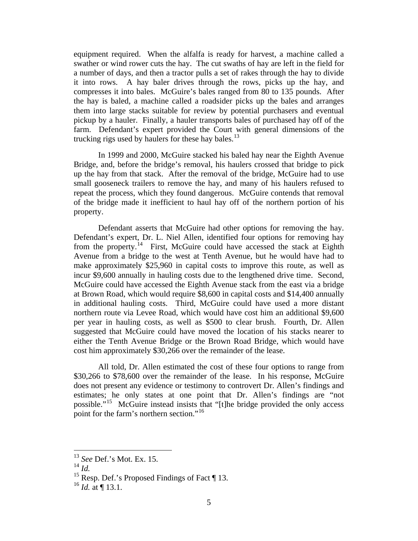equipment required. When the alfalfa is ready for harvest, a machine called a swather or wind rower cuts the hay. The cut swaths of hay are left in the field for a number of days, and then a tractor pulls a set of rakes through the hay to divide it into rows. A hay baler drives through the rows, picks up the hay, and compresses it into bales. McGuire's bales ranged from 80 to 135 pounds. After the hay is baled, a machine called a roadsider picks up the bales and arranges them into large stacks suitable for review by potential purchasers and eventual pickup by a hauler. Finally, a hauler transports bales of purchased hay off of the farm. Defendant's expert provided the Court with general dimensions of the trucking rigs used by haulers for these hay bales. $^{13}$  $^{13}$  $^{13}$ 

In 1999 and 2000, McGuire stacked his baled hay near the Eighth Avenue Bridge, and, before the bridge's removal, his haulers crossed that bridge to pick up the hay from that stack. After the removal of the bridge, McGuire had to use small gooseneck trailers to remove the hay, and many of his haulers refused to repeat the process, which they found dangerous. McGuire contends that removal of the bridge made it inefficient to haul hay off of the northern portion of his property.

Defendant asserts that McGuire had other options for removing the hay. Defendant's expert, Dr. L. Niel Allen, identified four options for removing hay from the property.<sup>[14](#page-4-1)</sup> First, McGuire could have accessed the stack at Eighth Avenue from a bridge to the west at Tenth Avenue, but he would have had to make approximately \$25,960 in capital costs to improve this route, as well as incur \$9,600 annually in hauling costs due to the lengthened drive time. Second, McGuire could have accessed the Eighth Avenue stack from the east via a bridge at Brown Road, which would require \$8,600 in capital costs and \$14,400 annually in additional hauling costs. Third, McGuire could have used a more distant northern route via Levee Road, which would have cost him an additional \$9,600 per year in hauling costs, as well as \$500 to clear brush. Fourth, Dr. Allen suggested that McGuire could have moved the location of his stacks nearer to either the Tenth Avenue Bridge or the Brown Road Bridge, which would have cost him approximately \$30,266 over the remainder of the lease.

All told, Dr. Allen estimated the cost of these four options to range from \$30,266 to \$78,600 over the remainder of the lease. In his response, McGuire does not present any evidence or testimony to controvert Dr. Allen's findings and estimates; he only states at one point that Dr. Allen's findings are "not possible."[15](#page-4-2) McGuire instead insists that "[t]he bridge provided the only access point for the farm's northern section."<sup>[16](#page-4-3)</sup>

<sup>13</sup> *See* Def.'s Mot. Ex. 15.

<span id="page-4-1"></span><span id="page-4-0"></span> $^{14}$   $\mathrm{Id}$ .

<span id="page-4-2"></span><sup>&</sup>lt;sup>15</sup> Resp. Def.'s Proposed Findings of Fact  $\P$  13.

<span id="page-4-3"></span> $^{16}$  *Id.* at ¶ 13.1.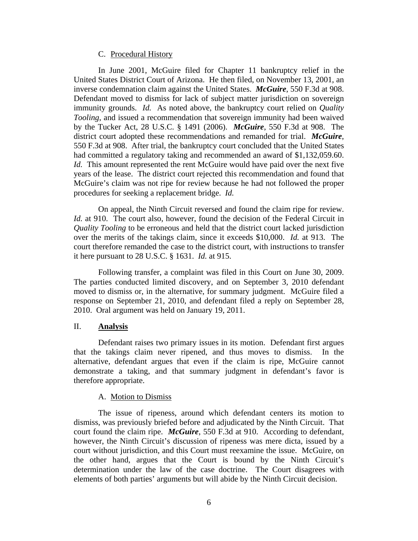## C. Procedural History

In June 2001, McGuire filed for Chapter 11 bankruptcy relief in the United States District Court of Arizona. He then filed, on November 13, 2001, an inverse condemnation claim against the United States. *McGuire*, 550 F.3d at 908. Defendant moved to dismiss for lack of subject matter jurisdiction on sovereign immunity grounds. *Id.* As noted above, the bankruptcy court relied on *Quality Tooling*, and issued a recommendation that sovereign immunity had been waived by the Tucker Act, 28 U.S.C. § 1491 (2006). *McGuire*, 550 F.3d at 908. The district court adopted these recommendations and remanded for trial. *McGuire*, 550 F.3d at 908. After trial, the bankruptcy court concluded that the United States had committed a regulatory taking and recommended an award of \$1,132,059.60. *Id.* This amount represented the rent McGuire would have paid over the next five years of the lease. The district court rejected this recommendation and found that McGuire's claim was not ripe for review because he had not followed the proper procedures for seeking a replacement bridge. *Id.*

On appeal, the Ninth Circuit reversed and found the claim ripe for review. *Id.* at 910. The court also, however, found the decision of the Federal Circuit in *Quality Tooling* to be erroneous and held that the district court lacked jurisdiction over the merits of the takings claim, since it exceeds \$10,000. *Id.* at 913. The court therefore remanded the case to the district court, with instructions to transfer it here pursuant to 28 U.S.C. § 1631. *Id.* at 915.

Following transfer, a complaint was filed in this Court on June 30, 2009. The parties conducted limited discovery, and on September 3, 2010 defendant moved to dismiss or, in the alternative, for summary judgment. McGuire filed a response on September 21, 2010, and defendant filed a reply on September 28, 2010. Oral argument was held on January 19, 2011.

# II. **Analysis**

Defendant raises two primary issues in its motion. Defendant first argues that the takings claim never ripened, and thus moves to dismiss. In the alternative, defendant argues that even if the claim is ripe, McGuire cannot demonstrate a taking, and that summary judgment in defendant's favor is therefore appropriate.

#### A. Motion to Dismiss

The issue of ripeness, around which defendant centers its motion to dismiss, was previously briefed before and adjudicated by the Ninth Circuit. That court found the claim ripe. *McGuire*, 550 F.3d at 910. According to defendant, however, the Ninth Circuit's discussion of ripeness was mere dicta, issued by a court without jurisdiction, and this Court must reexamine the issue. McGuire, on the other hand, argues that the Court is bound by the Ninth Circuit's determination under the law of the case doctrine. The Court disagrees with elements of both parties' arguments but will abide by the Ninth Circuit decision.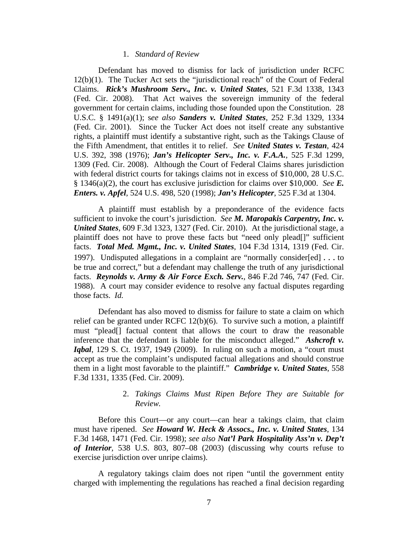#### 1. *Standard of Review*

Defendant has moved to dismiss for lack of jurisdiction under RCFC 12(b)(1). The Tucker Act sets the "jurisdictional reach" of the Court of Federal Claims. *Rick's Mushroom Serv., Inc. v. United States*, 521 F.3d 1338, 1343 (Fed. Cir. 2008). That Act waives the sovereign immunity of the federal government for certain claims, including those founded upon the Constitution. 28 U.S.C. § 1491(a)(1); s*ee also Sanders v. United States*, 252 F.3d 1329, 1334 (Fed. Cir. 2001). Since the Tucker Act does not itself create any substantive rights, a plaintiff must identify a substantive right, such as the Takings Clause of the Fifth Amendment, that entitles it to relief. *See United States v. Testan*, 424 U.S. 392, 398 (1976); *Jan's Helicopter Serv., Inc. v. F.A.A.*, 525 F.3d 1299, 1309 (Fed. Cir. 2008). Although the Court of Federal Claims shares jurisdiction with federal district courts for takings claims not in excess of \$10,000, 28 U.S.C. § 1346(a)(2), the court has exclusive jurisdiction for claims over \$10,000. *See E. Enters. v. Apfel*, 524 U.S. 498, 520 (1998); *Jan's Helicopter*, 525 F.3d at 1304.

A plaintiff must establish by a preponderance of the evidence facts sufficient to invoke the court's jurisdiction. *See M. Maropakis Carpentry, Inc. v. United States*, 609 F.3d 1323, 1327 (Fed. Cir. 2010). At the jurisdictional stage, a plaintiff does not have to prove these facts but "need only plead[]" sufficient facts. *Total Med. Mgmt., Inc. v. United States*, 104 F.3d 1314, 1319 (Fed. Cir. 1997). Undisputed allegations in a complaint are "normally consider[ed] . . . to be true and correct," but a defendant may challenge the truth of any jurisdictional facts. *Reynolds v. Army & Air Force Exch. Serv.*, 846 F.2d 746, 747 (Fed. Cir. 1988). A court may consider evidence to resolve any factual disputes regarding those facts. *Id.*

Defendant has also moved to dismiss for failure to state a claim on which relief can be granted under RCFC 12(b)(6). To survive such a motion, a plaintiff must "plead[] factual content that allows the court to draw the reasonable inference that the defendant is liable for the misconduct alleged." *Ashcroft v. Iqbal*, 129 S. Ct. 1937, 1949 (2009). In ruling on such a motion, a "court must" accept as true the complaint's undisputed factual allegations and should construe them in a light most favorable to the plaintiff." *Cambridge v. United States*, 558 F.3d 1331, 1335 (Fed. Cir. 2009).

# 2. *Takings Claims Must Ripen Before They are Suitable for Review.*

Before this Court—or any court—can hear a takings claim, that claim must have ripened. *See Howard W. Heck & Assocs., Inc. v. United States*, 134 F.3d 1468, 1471 (Fed. Cir. 1998); *see also Nat'l Park Hospitality Ass'n v. Dep't of Interior*, 538 U.S. 803, 807–08 (2003) (discussing why courts refuse to exercise jurisdiction over unripe claims).

A regulatory takings claim does not ripen "until the government entity charged with implementing the regulations has reached a final decision regarding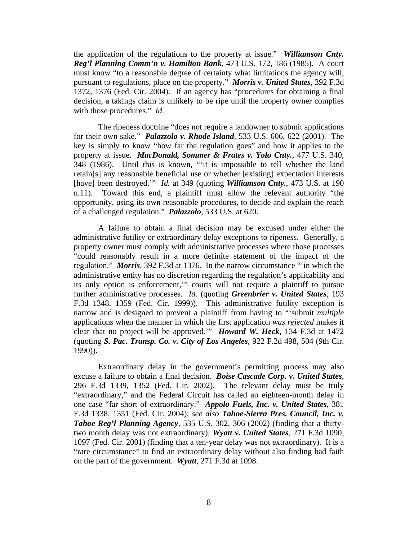the application of the regulations to the property at issue." *Williamson Cnty. Reg'l Planning Comm'n v. Hamilton Bank*, 473 U.S. 172, 186 (1985). A court must know "to a reasonable degree of certainty what limitations the agency will, pursuant to regulations, place on the property." *Morris v. United States*, 392 F.3d 1372, 1376 (Fed. Cir. 2004). If an agency has "procedures for obtaining a final decision, a takings claim is unlikely to be ripe until the property owner complies with those procedures." *Id.*

The ripeness doctrine "does not require a landowner to submit applications for their own sake." *Palazzolo v. Rhode Island*, 533 U.S. 606, 622 (2001). The key is simply to know "how far the regulation goes" and how it applies to the property at issue. *MacDonald, Sommer & Frates v. Yolo Cnty.*, 477 U.S. 340, 348 (1986). Until this is known, "'it is impossible to tell whether the land retain[s] any reasonable beneficial use or whether [existing] expectation interests [have] been destroyed.'" *Id.* at 349 (quoting *Williamson Cnty.*, 473 U.S. at 190 n.11). Toward this end, a plaintiff must allow the relevant authority "the opportunity, using its own reasonable procedures, to decide and explain the reach of a challenged regulation." *Palazzolo*, 533 U.S. at 620.

A failure to obtain a final decision may be excused under either the administrative futility or extraordinary delay exceptions to ripeness. Generally, a property owner must comply with administrative processes where those processes "could reasonably result in a more definite statement of the impact of the regulation." *Morris*, 392 F.3d at 1376. In the narrow circumstance "'in which the administrative entity has no discretion regarding the regulation's applicability and its only option is enforcement,'" courts will not require a plaintiff to pursue further administrative processes. *Id.* (quoting *Greenbrier v. United States*, 193 F.3d 1348, 1359 (Fed. Cir. 1999)). This administrative futility exception is narrow and is designed to prevent a plaintiff from having to "'submit *multiple* applications when the manner in which the first application *was rejected* makes it clear that no project will be approved.'" *Howard W. Heck*, 134 F.3d at 1472 (quoting *S. Pac. Transp. Co. v. City of Los Angeles*, 922 F.2d 498, 504 (9th Cir. 1990)).

Extraordinary delay in the government's permitting process may also excuse a failure to obtain a final decision. *Boise Cascade Corp. v. United States*, 296 F.3d 1339, 1352 (Fed. Cir. 2002). The relevant delay must be truly "extraordinary," and the Federal Circuit has called an eighteen-month delay in one case "far short of extraordinary." *Appolo Fuels, Inc. v. United States*, 381 F.3d 1338, 1351 (Fed. Cir. 2004); *see also Tahoe-Sierra Pres. Council, Inc. v. Tahoe Reg'l Planning Agency*, 535 U.S. 302, 306 (2002) (finding that a thirtytwo month delay was not extraordinary); *Wyatt v. United States*, 271 F.3d 1090, 1097 (Fed. Cir. 2001) (finding that a ten-year delay was not extraordinary). It is a "rare circumstance" to find an extraordinary delay without also finding bad faith on the part of the government. *Wyatt*, 271 F.3d at 1098.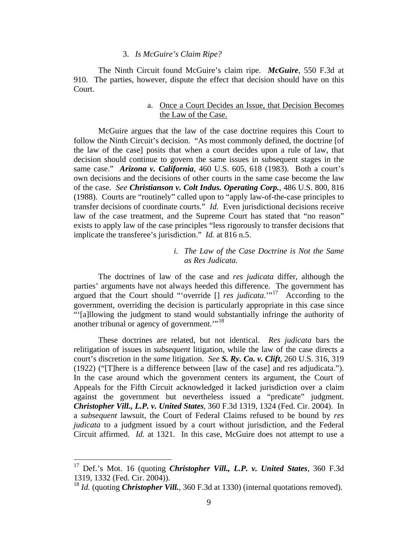# 3. *Is McGuire's Claim Ripe?*

The Ninth Circuit found McGuire's claim ripe. *McGuire*, 550 F.3d at 910. The parties, however, dispute the effect that decision should have on this Court.

# a. Once a Court Decides an Issue, that Decision Becomes the Law of the Case.

McGuire argues that the law of the case doctrine requires this Court to follow the Ninth Circuit's decision. "As most commonly defined, the doctrine [of the law of the case] posits that when a court decides upon a rule of law, that decision should continue to govern the same issues in subsequent stages in the same case." *Arizona v. California*, 460 U.S. 605, 618 (1983). Both a court's own decisions and the decisions of other courts in the same case become the law of the case. *See Christianson v. Colt Indus. Operating Corp.*, 486 U.S. 800, 816 (1988). Courts are "routinely" called upon to "apply law-of-the-case principles to transfer decisions of coordinate courts." *Id.* Even jurisdictional decisions receive law of the case treatment, and the Supreme Court has stated that "no reason" exists to apply law of the case principles "less rigorously to transfer decisions that implicate the transferee's jurisdiction." *Id.* at 816 n.5.

# *i. The Law of the Case Doctrine is Not the Same as Res Judicata.*

The doctrines of law of the case and *res judicata* differ, although the parties' arguments have not always heeded this difference. The government has argued that the Court should "'override [] *res judicata*.'"[17](#page-8-0) According to the government, overriding the decision is particularly appropriate in this case since "'[a]llowing the judgment to stand would substantially infringe the authority of another tribunal or agency of government."<sup>[18](#page-8-1)</sup>

These doctrines are related, but not identical. *Res judicata* bars the relitigation of issues in *subsequent* litigation, while the law of the case directs a court's discretion in the *same* litigation. *See S. Ry. Co. v. Clift*, 260 U.S. 316, 319 (1922) ("[T]here is a difference between [law of the case] and res adjudicata."). In the case around which the government centers its argument, the Court of Appeals for the Fifth Circuit acknowledged it lacked jurisdiction over a claim against the government but nevertheless issued a "predicate" judgment. *Christopher Vill., L.P. v. United States*, 360 F.3d 1319, 1324 (Fed. Cir. 2004). In a *subsequent* lawsuit, the Court of Federal Claims refused to be bound by *res judicata* to a judgment issued by a court without jurisdiction, and the Federal Circuit affirmed. *Id.* at 1321. In this case, McGuire does not attempt to use a

<span id="page-8-0"></span><sup>17</sup> Def.'s Mot. 16 (quoting *Christopher Vill., L.P. v. United States*, 360 F.3d 1319, 1332 (Fed. Cir. 2004)).

<span id="page-8-1"></span><sup>&</sup>lt;sup>18</sup> *Id.* (quoting *Christopher Vill.*, 360 F.3d at 1330) (internal quotations removed).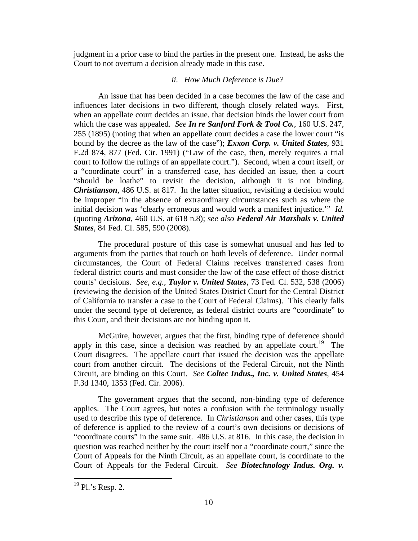judgment in a prior case to bind the parties in the present one. Instead, he asks the Court to not overturn a decision already made in this case.

# *ii. How Much Deference is Due?*

An issue that has been decided in a case becomes the law of the case and influences later decisions in two different, though closely related ways. First, when an appellate court decides an issue, that decision binds the lower court from which the case was appealed. *See In re Sanford Fork & Tool Co.*, 160 U.S. 247, 255 (1895) (noting that when an appellate court decides a case the lower court "is bound by the decree as the law of the case"); *Exxon Corp. v. United States*, 931 F.2d 874, 877 (Fed. Cir. 1991) ("Law of the case, then, merely requires a trial court to follow the rulings of an appellate court."). Second, when a court itself, or a "coordinate court" in a transferred case, has decided an issue, then a court "should be loathe" to revisit the decision, although it is not binding. *Christianson*, 486 U.S. at 817. In the latter situation, revisiting a decision would be improper "in the absence of extraordinary circumstances such as where the initial decision was 'clearly erroneous and would work a manifest injustice.'" *Id.*  (quoting *Arizona*, 460 U.S. at 618 n.8); *see also Federal Air Marshals v. United States*, 84 Fed. Cl. 585, 590 (2008).

The procedural posture of this case is somewhat unusual and has led to arguments from the parties that touch on both levels of deference. Under normal circumstances, the Court of Federal Claims receives transferred cases from federal district courts and must consider the law of the case effect of those district courts' decisions. *See, e.g.*, *Taylor v. United States*, 73 Fed. Cl. 532, 538 (2006) (reviewing the decision of the United States District Court for the Central District of California to transfer a case to the Court of Federal Claims). This clearly falls under the second type of deference, as federal district courts are "coordinate" to this Court, and their decisions are not binding upon it.

McGuire, however, argues that the first, binding type of deference should apply in this case, since a decision was reached by an appellate court.<sup>[19](#page-9-0)</sup> The Court disagrees. The appellate court that issued the decision was the appellate court from another circuit. The decisions of the Federal Circuit, not the Ninth Circuit, are binding on this Court. *See Coltec Indus., Inc. v. United States*, 454 F.3d 1340, 1353 (Fed. Cir. 2006).

The government argues that the second, non-binding type of deference applies. The Court agrees, but notes a confusion with the terminology usually used to describe this type of deference. In *Christianson* and other cases, this type of deference is applied to the review of a court's own decisions or decisions of "coordinate courts" in the same suit. 486 U.S. at 816. In this case, the decision in question was reached neither by the court itself nor a "coordinate court," since the Court of Appeals for the Ninth Circuit, as an appellate court, is coordinate to the Court of Appeals for the Federal Circuit. *See Biotechnology Indus. Org. v.* 

<span id="page-9-0"></span> $19$  Pl.'s Resp. 2.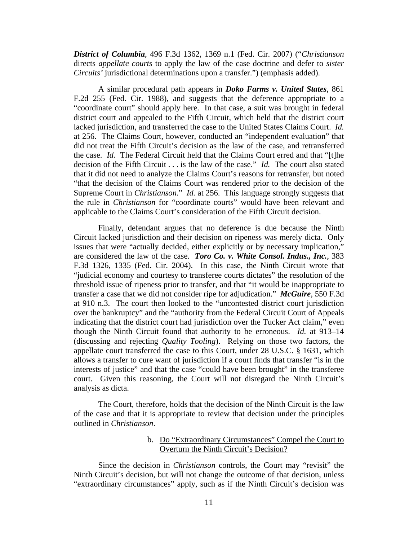*District of Columbia*, 496 F.3d 1362, 1369 n.1 (Fed. Cir. 2007) ("*Christianson* directs *appellate courts* to apply the law of the case doctrine and defer to *sister Circuits'* jurisdictional determinations upon a transfer.") (emphasis added).

A similar procedural path appears in *Doko Farms v. United States*, 861 F.2d 255 (Fed. Cir. 1988), and suggests that the deference appropriate to a "coordinate court" should apply here. In that case, a suit was brought in federal district court and appealed to the Fifth Circuit, which held that the district court lacked jurisdiction, and transferred the case to the United States Claims Court. *Id.* at 256. The Claims Court, however, conducted an "independent evaluation" that did not treat the Fifth Circuit's decision as the law of the case, and retransferred the case. *Id.* The Federal Circuit held that the Claims Court erred and that "[t]he decision of the Fifth Circuit . . . is the law of the case." *Id.* The court also stated that it did not need to analyze the Claims Court's reasons for retransfer, but noted "that the decision of the Claims Court was rendered prior to the decision of the Supreme Court in *Christianson*." *Id.* at 256. This language strongly suggests that the rule in *Christianson* for "coordinate courts" would have been relevant and applicable to the Claims Court's consideration of the Fifth Circuit decision.

Finally, defendant argues that no deference is due because the Ninth Circuit lacked jurisdiction and their decision on ripeness was merely dicta. Only issues that were "actually decided, either explicitly or by necessary implication," are considered the law of the case. *Toro Co. v. White Consol. Indus., Inc.*, 383 F.3d 1326, 1335 (Fed. Cir. 2004). In this case, the Ninth Circuit wrote that "judicial economy and courtesy to transferee courts dictates" the resolution of the threshold issue of ripeness prior to transfer, and that "it would be inappropriate to transfer a case that we did not consider ripe for adjudication." *McGuire*, 550 F.3d at 910 n.3. The court then looked to the "uncontested district court jurisdiction over the bankruptcy" and the "authority from the Federal Circuit Court of Appeals indicating that the district court had jurisdiction over the Tucker Act claim," even though the Ninth Circuit found that authority to be erroneous. *Id.* at 913–14 (discussing and rejecting *Quality Tooling*). Relying on those two factors, the appellate court transferred the case to this Court, under 28 U.S.C. § 1631, which allows a transfer to cure want of jurisdiction if a court finds that transfer "is in the interests of justice" and that the case "could have been brought" in the transferee court. Given this reasoning, the Court will not disregard the Ninth Circuit's analysis as dicta.

The Court, therefore, holds that the decision of the Ninth Circuit is the law of the case and that it is appropriate to review that decision under the principles outlined in *Christianson*.

> b. Do "Extraordinary Circumstances" Compel the Court to Overturn the Ninth Circuit's Decision?

Since the decision in *Christianson* controls, the Court may "revisit" the Ninth Circuit's decision, but will not change the outcome of that decision, unless "extraordinary circumstances" apply, such as if the Ninth Circuit's decision was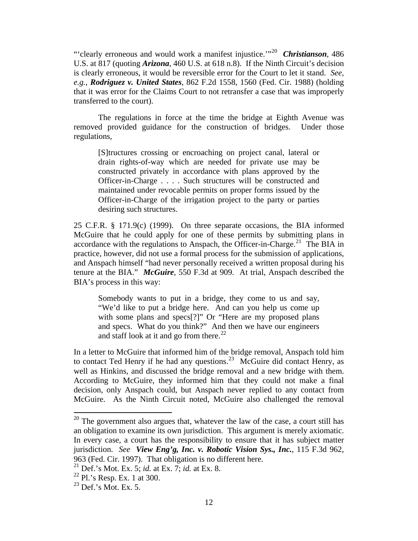"'clearly erroneous and would work a manifest injustice.'"[20](#page-11-0) *Christianson*, 486 U.S. at 817 (quoting *Arizona*, 460 U.S. at 618 n.8). If the Ninth Circuit's decision is clearly erroneous, it would be reversible error for the Court to let it stand. *See, e.g.*, *Rodriguez v. United States*, 862 F.2d 1558, 1560 (Fed. Cir. 1988) (holding that it was error for the Claims Court to not retransfer a case that was improperly transferred to the court).

The regulations in force at the time the bridge at Eighth Avenue was removed provided guidance for the construction of bridges. Under those regulations,

[S]tructures crossing or encroaching on project canal, lateral or drain rights-of-way which are needed for private use may be constructed privately in accordance with plans approved by the Officer-in-Charge . . . . Such structures will be constructed and maintained under revocable permits on proper forms issued by the Officer-in-Charge of the irrigation project to the party or parties desiring such structures.

25 C.F.R. § 171.9(c) (1999). On three separate occasions, the BIA informed McGuire that he could apply for one of these permits by submitting plans in accordance with the regulations to Anspach, the Officer-in-Charge.<sup>[21](#page-11-1)</sup> The BIA in practice, however, did not use a formal process for the submission of applications, and Anspach himself "had never personally received a written proposal during his tenure at the BIA." *McGuire*, 550 F.3d at 909.At trial, Anspach described the BIA's process in this way:

Somebody wants to put in a bridge, they come to us and say, "We'd like to put a bridge here. And can you help us come up with some plans and specs[?]" Or "Here are my proposed plans and specs. What do you think?" And then we have our engineers and staff look at it and go from there.<sup>[22](#page-11-2)</sup>

In a letter to McGuire that informed him of the bridge removal, Anspach told him to contact Ted Henry if he had any questions.<sup>[23](#page-11-3)</sup> McGuire did contact Henry, as well as Hinkins, and discussed the bridge removal and a new bridge with them. According to McGuire, they informed him that they could not make a final decision, only Anspach could, but Anspach never replied to any contact from McGuire. As the Ninth Circuit noted, McGuire also challenged the removal

1

<span id="page-11-0"></span> $20$  The government also argues that, whatever the law of the case, a court still has an obligation to examine its own jurisdiction. This argument is merely axiomatic. In every case, a court has the responsibility to ensure that it has subject matter jurisdiction. *See View Eng'g, Inc. v. Robotic Vision Sys., Inc.*, 115 F.3d 962, 963 (Fed. Cir. 1997). That obligation is no different here.

<span id="page-11-1"></span><sup>21</sup> Def.'s Mot. Ex. 5; *id.* at Ex. 7; *id.* at Ex. 8.

<span id="page-11-2"></span> $22$  Pl.'s Resp. Ex. 1 at 300.

<span id="page-11-3"></span> $^{23}$  Def.'s Mot. Ex. 5.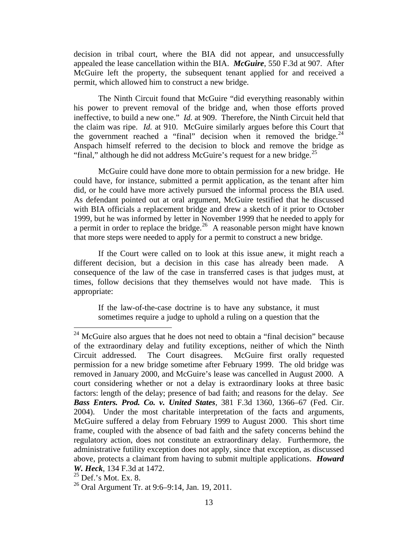decision in tribal court, where the BIA did not appear, and unsuccessfully appealed the lease cancellation within the BIA. *McGuire*, 550 F.3d at 907. After McGuire left the property, the subsequent tenant applied for and received a permit, which allowed him to construct a new bridge.

The Ninth Circuit found that McGuire "did everything reasonably within his power to prevent removal of the bridge and, when those efforts proved ineffective, to build a new one." *Id.* at 909.Therefore, the Ninth Circuit held that the claim was ripe. *Id.* at 910. McGuire similarly argues before this Court that the government reached a "final" decision when it removed the bridge. $24$ Anspach himself referred to the decision to block and remove the bridge as "final," although he did not address McGuire's request for a new bridge.<sup>[25](#page-12-1)</sup>

McGuire could have done more to obtain permission for a new bridge. He could have, for instance, submitted a permit application, as the tenant after him did, or he could have more actively pursued the informal process the BIA used. As defendant pointed out at oral argument, McGuire testified that he discussed with BIA officials a replacement bridge and drew a sketch of it prior to October 1999, but he was informed by letter in November 1999 that he needed to apply for a permit in order to replace the bridge.<sup>[26](#page-12-2)</sup> A reasonable person might have known that more steps were needed to apply for a permit to construct a new bridge.

If the Court were called on to look at this issue anew, it might reach a different decision, but a decision in this case has already been made. A consequence of the law of the case in transferred cases is that judges must, at times, follow decisions that they themselves would not have made. This is appropriate:

If the law-of-the-case doctrine is to have any substance, it must sometimes require a judge to uphold a ruling on a question that the

<span id="page-12-0"></span> $24$  McGuire also argues that he does not need to obtain a "final decision" because of the extraordinary delay and futility exceptions, neither of which the Ninth Circuit addressed. The Court disagrees. McGuire first orally requested permission for a new bridge sometime after February 1999. The old bridge was removed in January 2000, and McGuire's lease was cancelled in August 2000. A court considering whether or not a delay is extraordinary looks at three basic factors: length of the delay; presence of bad faith; and reasons for the delay. *See Bass Enters. Prod. Co. v. United States*, 381 F.3d 1360, 1366–67 (Fed. Cir. 2004). Under the most charitable interpretation of the facts and arguments, McGuire suffered a delay from February 1999 to August 2000. This short time frame, coupled with the absence of bad faith and the safety concerns behind the regulatory action, does not constitute an extraordinary delay. Furthermore, the administrative futility exception does not apply, since that exception, as discussed above, protects a claimant from having to submit multiple applications. *Howard W. Heck*, 134 F.3d at 1472.

<span id="page-12-1"></span> $25$  Def.'s Mot. Ex. 8.

<span id="page-12-2"></span><sup>&</sup>lt;sup>26</sup> Oral Argument Tr. at  $9:6-9:14$ , Jan. 19, 2011.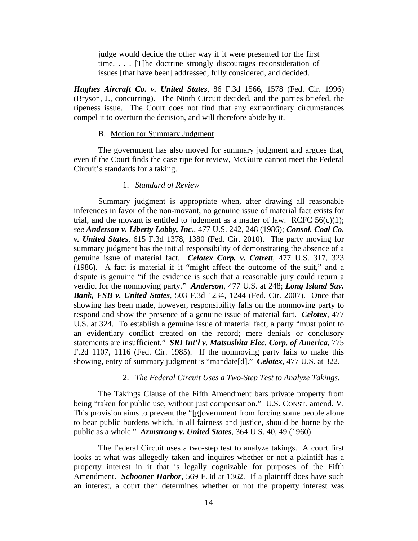judge would decide the other way if it were presented for the first time. . . . [T]he doctrine strongly discourages reconsideration of issues [that have been] addressed, fully considered, and decided.

*Hughes Aircraft Co. v. United States*, 86 F.3d 1566, 1578 (Fed. Cir. 1996) (Bryson, J., concurring). The Ninth Circuit decided, and the parties briefed, the ripeness issue. The Court does not find that any extraordinary circumstances compel it to overturn the decision, and will therefore abide by it.

#### B. Motion for Summary Judgment

The government has also moved for summary judgment and argues that, even if the Court finds the case ripe for review, McGuire cannot meet the Federal Circuit's standards for a taking.

## 1. *Standard of Review*

Summary judgment is appropriate when, after drawing all reasonable inferences in favor of the non-movant, no genuine issue of material fact exists for trial, and the movant is entitled to judgment as a matter of law. RCFC  $56(c)(1)$ ; *see Anderson v. Liberty Lobby, Inc.*, 477 U.S. 242, 248 (1986); *Consol. Coal Co. v. United States*, 615 F.3d 1378, 1380 (Fed. Cir. 2010). The party moving for summary judgment has the initial responsibility of demonstrating the absence of a genuine issue of material fact. *Celotex Corp. v. Catrett*, 477 U.S. 317, 323 (1986). A fact is material if it "might affect the outcome of the suit," and a dispute is genuine "if the evidence is such that a reasonable jury could return a verdict for the nonmoving party." *Anderson*, 477 U.S. at 248; *Long Island Sav. Bank, FSB v. United States*, 503 F.3d 1234, 1244 (Fed. Cir. 2007). Once that showing has been made, however, responsibility falls on the nonmoving party to respond and show the presence of a genuine issue of material fact. *Celotex*, 477 U.S. at 324. To establish a genuine issue of material fact, a party "must point to an evidentiary conflict created on the record; mere denials or conclusory statements are insufficient." *SRI Int'l v. Matsushita Elec. Corp. of America*, 775 F.2d 1107, 1116 (Fed. Cir. 1985). If the nonmoving party fails to make this showing, entry of summary judgment is "mandate[d]." *Celotex*, 477 U.S. at 322.

## 2. *The Federal Circuit Uses a Two-Step Test to Analyze Takings*.

The Takings Clause of the Fifth Amendment bars private property from being "taken for public use, without just compensation." U.S. CONST. amend. V. This provision aims to prevent the "[g]overnment from forcing some people alone to bear public burdens which, in all fairness and justice, should be borne by the public as a whole." *Armstrong v. United States*, 364 U.S. 40, 49 (1960).

The Federal Circuit uses a two-step test to analyze takings. A court first looks at what was allegedly taken and inquires whether or not a plaintiff has a property interest in it that is legally cognizable for purposes of the Fifth Amendment. *Schooner Harbor*, 569 F.3d at 1362. If a plaintiff does have such an interest, a court then determines whether or not the property interest was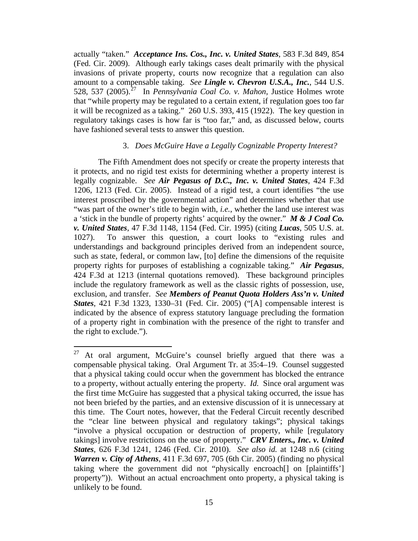actually "taken." *Acceptance Ins. Cos., Inc. v. United States*, 583 F.3d 849, 854 (Fed. Cir. 2009). Although early takings cases dealt primarily with the physical invasions of private property, courts now recognize that a regulation can also amount to a compensable taking. *See Lingle v. Chevron U.S.A., Inc.*, 544 U.S. 528, 537 (2005).[27](#page-14-0) In *Pennsylvania Coal Co. v. Mahon*, Justice Holmes wrote that "while property may be regulated to a certain extent, if regulation goes too far it will be recognized as a taking." 260 U.S. 393, 415 (1922). The key question in regulatory takings cases is how far is "too far," and, as discussed below, courts have fashioned several tests to answer this question.

## 3. *Does McGuire Have a Legally Cognizable Property Interest?*

The Fifth Amendment does not specify or create the property interests that it protects, and no rigid test exists for determining whether a property interest is legally cognizable. *See Air Pegasus of D.C., Inc. v. United States*, 424 F.3d 1206, 1213 (Fed. Cir. 2005). Instead of a rigid test, a court identifies "the use interest proscribed by the governmental action" and determines whether that use "was part of the owner's title to begin with, *i.e.*, whether the land use interest was a 'stick in the bundle of property rights' acquired by the owner." *M & J Coal Co. v. United States*, 47 F.3d 1148, 1154 (Fed. Cir. 1995) (citing *Lucas*, 505 U.S. at. 1027). To answer this question, a court looks to "existing rules and understandings and background principles derived from an independent source, such as state, federal, or common law, [to] define the dimensions of the requisite property rights for purposes of establishing a cognizable taking." *Air Pegasus*, 424 F.3d at 1213 (internal quotations removed). These background principles include the regulatory framework as well as the classic rights of possession, use, exclusion, and transfer. *See Members of Peanut Quota Holders Ass'n v. United States*, 421 F.3d 1323, 1330–31 (Fed. Cir. 2005) ("[A] compensable interest is indicated by the absence of express statutory language precluding the formation of a property right in combination with the presence of the right to transfer and the right to exclude.").

<span id="page-14-0"></span><sup>27</sup> At oral argument, McGuire's counsel briefly argued that there was a compensable physical taking. Oral Argument Tr. at 35:4–19. Counsel suggested that a physical taking could occur when the government has blocked the entrance to a property, without actually entering the property. *Id.* Since oral argument was the first time McGuire has suggested that a physical taking occurred, the issue has not been briefed by the parties, and an extensive discussion of it is unnecessary at this time. The Court notes, however, that the Federal Circuit recently described the "clear line between physical and regulatory takings"; physical takings "involve a physical occupation or destruction of property, while [regulatory takings] involve restrictions on the use of property." *CRV Enters., Inc. v. United States*, 626 F.3d 1241, 1246 (Fed. Cir. 2010). *See also id.* at 1248 n.6 (citing *Warren v. City of Athens*, 411 F.3d 697, 705 (6th Cir. 2005) (finding no physical taking where the government did not "physically encroach[] on [plaintiffs'] property")). Without an actual encroachment onto property, a physical taking is unlikely to be found.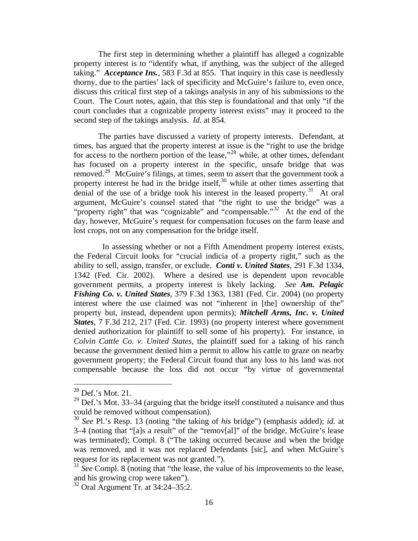The first step in determining whether a plaintiff has alleged a cognizable property interest is to "identify what, if anything, was the subject of the alleged taking." *Acceptance Ins.*, 583 F.3d at 855. That inquiry in this case is needlessly thorny, due to the parties' lack of specificity and McGuire's failure to, even once, discuss this critical first step of a takings analysis in any of his submissions to the Court. The Court notes, again, that this step is foundational and that only "if the court concludes that a cognizable property interest exists" may it proceed to the second step of the takings analysis. *Id.* at 854.

The parties have discussed a variety of property interests. Defendant, at times, has argued that the property interest at issue is the "right to use the bridge for access to the northern portion of the lease,"[28](#page-15-0) while, at other times, defendant has focused on a property interest in the specific, unsafe bridge that was removed.[29](#page-15-1) McGuire's filings, at times, seem to assert that the government took a property interest he had in the bridge itself, $30$  while at other times asserting that denial of the use of a bridge took his interest in the leased property.<sup>[31](#page-15-3)</sup> At oral argument, McGuire's counsel stated that "the right to use the bridge" was a "property right" that was "cognizable" and "compensable."<sup>[32](#page-15-4)</sup> At the end of the day, however, McGuire's request for compensation focuses on the farm lease and lost crops, not on any compensation for the bridge itself.

 In assessing whether or not a Fifth Amendment property interest exists, the Federal Circuit looks for "crucial indicia of a property right," such as the ability to sell, assign, transfer, or exclude. *Conti v. United States*, 291 F.3d 1334, 1342 (Fed. Cir. 2002). Where a desired use is dependent upon revocable government permits, a property interest is likely lacking. *See Am. Pelagic Fishing Co. v. United States*, 379 F.3d 1363, 1381 (Fed. Cir. 2004) (no property interest where the use claimed was not "inherent in [the] ownership of the" property but, instead, dependent upon permits); *Mitchell Arms, Inc. v. United States*, 7 F.3d 212, 217 (Fed. Cir. 1993) (no property interest where government denied authorization for plaintiff to sell some of his property). For instance, in *Colvin Cattle Co. v. United States*, the plaintiff sued for a taking of his ranch because the government denied him a permit to allow his cattle to graze on nearby government property; the Federal Circuit found that any loss to his land was not compensable because the loss did not occur "by virtue of governmental

<span id="page-15-0"></span> $28$  Def.'s Mot. 21.

<span id="page-15-1"></span> $29$  Def.'s Mot. 33–34 (arguing that the bridge itself constituted a nuisance and thus could be removed without compensation).

<span id="page-15-2"></span><sup>30</sup> *See* Pl.'s Resp. 13 (noting "the taking of *his* bridge") (emphasis added); *id.* at 3–4 (noting that "[a]s a result" of the "remov[al]" of the bridge, McGuire's lease was terminated); Compl. 8 ("The taking occurred because and when the bridge was removed, and it was not replaced Defendants [sic], and when McGuire's request for its replacement was not granted.").

<span id="page-15-3"></span><sup>&</sup>lt;sup>31</sup> *See* Compl. 8 (noting that "the lease, the value of his improvements to the lease, and his growing crop were taken").

<span id="page-15-4"></span><sup>32</sup> Oral Argument Tr. at 34:24–35:2.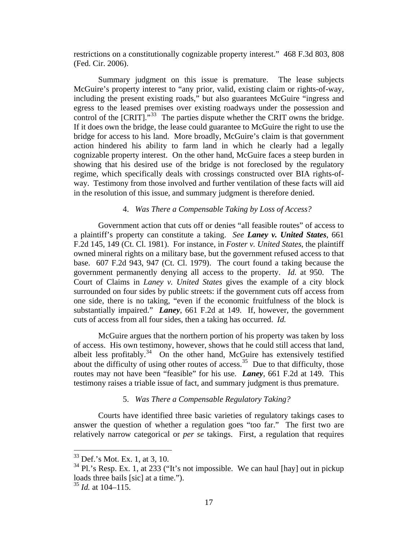restrictions on a constitutionally cognizable property interest." 468 F.3d 803, 808 (Fed. Cir. 2006).

Summary judgment on this issue is premature. The lease subjects McGuire's property interest to "any prior, valid, existing claim or rights-of-way, including the present existing roads," but also guarantees McGuire "ingress and egress to the leased premises over existing roadways under the possession and control of the  $\text{[CRIT]}^{33}$  $\text{[CRIT]}^{33}$  $\text{[CRIT]}^{33}$ . The parties dispute whether the CRIT owns the bridge. If it does own the bridge, the lease could guarantee to McGuire the right to use the bridge for access to his land. More broadly, McGuire's claim is that government action hindered his ability to farm land in which he clearly had a legally cognizable property interest. On the other hand, McGuire faces a steep burden in showing that his desired use of the bridge is not foreclosed by the regulatory regime, which specifically deals with crossings constructed over BIA rights-ofway. Testimony from those involved and further ventilation of these facts will aid in the resolution of this issue, and summary judgment is therefore denied.

# 4. *Was There a Compensable Taking by Loss of Access?*

Government action that cuts off or denies "all feasible routes" of access to a plaintiff's property can constitute a taking. *See Laney v. United States*, 661 F.2d 145, 149 (Ct. Cl. 1981). For instance, in *Foster v. United States*, the plaintiff owned mineral rights on a military base, but the government refused access to that base. 607 F.2d 943, 947 (Ct. Cl. 1979). The court found a taking because the government permanently denying all access to the property. *Id.* at 950. The Court of Claims in *Laney v. United States* gives the example of a city block surrounded on four sides by public streets: if the government cuts off access from one side, there is no taking, "even if the economic fruitfulness of the block is substantially impaired." *Laney*, 661 F.2d at 149. If, however, the government cuts of access from all four sides, then a taking has occurred. *Id.*

McGuire argues that the northern portion of his property was taken by loss of access. His own testimony, however, shows that he could still access that land, albeit less profitably.<sup>[34](#page-16-1)</sup> On the other hand, McGuire has extensively testified about the difficulty of using other routes of access.<sup>[35](#page-16-2)</sup> Due to that difficulty, those routes may not have been "feasible" for his use. *Laney*, 661 F.2d at 149. This testimony raises a triable issue of fact, and summary judgment is thus premature.

# 5. *Was There a Compensable Regulatory Taking?*

Courts have identified three basic varieties of regulatory takings cases to answer the question of whether a regulation goes "too far." The first two are relatively narrow categorical or *per se* takings. First, a regulation that requires

<span id="page-16-0"></span><sup>33</sup> Def.'s Mot. Ex. 1, at 3, 10.

<span id="page-16-1"></span> $34$  Pl.'s Resp. Ex. 1, at 233 ("It's not impossible. We can haul [hay] out in pickup loads three bails [sic] at a time.").

<span id="page-16-2"></span><sup>35</sup> *Id.* at 104–115.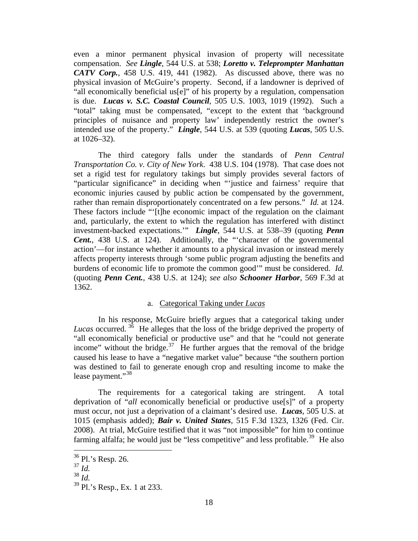even a minor permanent physical invasion of property will necessitate compensation. *See Lingle*, 544 U.S. at 538; *Loretto v. Teleprompter Manhattan CATV Corp.*, 458 U.S. 419, 441 (1982). As discussed above, there was no physical invasion of McGuire's property. Second, if a landowner is deprived of "all economically beneficial us[e]" of his property by a regulation, compensation is due. *Lucas v. S.C. Coastal Council*, 505 U.S. 1003, 1019 (1992). Such a "total" taking must be compensated, "except to the extent that 'background principles of nuisance and property law' independently restrict the owner's intended use of the property." *Lingle*, 544 U.S. at 539 (quoting *Lucas*, 505 U.S. at 1026–32).

The third category falls under the standards of *Penn Central Transportation Co. v. City of New York*. 438 U.S. 104 (1978). That case does not set a rigid test for regulatory takings but simply provides several factors of "particular significance" in deciding when "'justice and fairness' require that economic injuries caused by public action be compensated by the government, rather than remain disproportionately concentrated on a few persons." *Id.* at 124. These factors include "'[t]he economic impact of the regulation on the claimant and, particularly, the extent to which the regulation has interfered with distinct investment-backed expectations.'" *Lingle*, 544 U.S. at 538–39 (quoting *Penn Cent.*, 438 U.S. at 124). Additionally, the "'character of the governmental action'—for instance whether it amounts to a physical invasion or instead merely affects property interests through 'some public program adjusting the benefits and burdens of economic life to promote the common good'" must be considered. *Id.*  (quoting *Penn Cent.*, 438 U.S. at 124); *see also Schooner Harbor*, 569 F.3d at 1362.

# a. Categorical Taking under *Lucas*

In his response, McGuire briefly argues that a categorical taking under *Lucas* occurred. [36](#page-17-0) He alleges that the loss of the bridge deprived the property of "all economically beneficial or productive use" and that he "could not generate income" without the bridge. $37$  He further argues that the removal of the bridge caused his lease to have a "negative market value" because "the southern portion was destined to fail to generate enough crop and resulting income to make the lease payment."<sup>[38](#page-17-2)</sup>

The requirements for a categorical taking are stringent. A total deprivation of "*all* economically beneficial or productive use[s]" of a property must occur, not just a deprivation of a claimant's desired use. *Lucas*, 505 U.S. at 1015 (emphasis added); *Bair v. United States*, 515 F.3d 1323, 1326 (Fed. Cir. 2008). At trial, McGuire testified that it was "not impossible" for him to continue farming alfalfa; he would just be "less competitive" and less profitable.<sup>[39](#page-17-3)</sup> He also

<span id="page-17-0"></span><sup>&</sup>lt;sup>36</sup> Pl.'s Resp. 26.

<span id="page-17-1"></span><sup>37</sup> *Id.*

<span id="page-17-2"></span><sup>38</sup> *Id.*

<span id="page-17-3"></span> $39$  Pl.'s Resp., Ex. 1 at 233.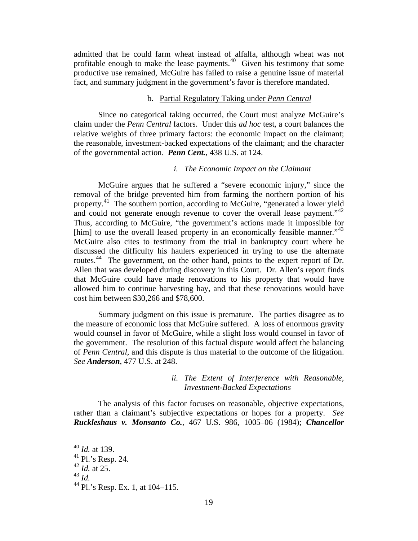admitted that he could farm wheat instead of alfalfa, although wheat was not profitable enough to make the lease payments.<sup>[40](#page-18-0)</sup> Given his testimony that some productive use remained, McGuire has failed to raise a genuine issue of material fact, and summary judgment in the government's favor is therefore mandated.

# b. Partial Regulatory Taking under *Penn Central*

Since no categorical taking occurred, the Court must analyze McGuire's claim under the *Penn Central* factors. Under this *ad hoc* test, a court balances the relative weights of three primary factors: the economic impact on the claimant; the reasonable, investment-backed expectations of the claimant; and the character of the governmental action. *Penn Cent.*, 438 U.S. at 124.

# *i. The Economic Impact on the Claimant*

McGuire argues that he suffered a "severe economic injury," since the removal of the bridge prevented him from farming the northern portion of his property.<sup>[41](#page-18-1)</sup> The southern portion, according to McGuire, "generated a lower yield and could not generate enough revenue to cover the overall lease payment."<sup>42</sup> Thus, according to McGuire, "the government's actions made it impossible for [him] to use the overall leased property in an economically feasible manner."<sup>43</sup> McGuire also cites to testimony from the trial in bankruptcy court where he discussed the difficulty his haulers experienced in trying to use the alternate routes.[44](#page-18-4) The government, on the other hand, points to the expert report of Dr. Allen that was developed during discovery in this Court. Dr. Allen's report finds that McGuire could have made renovations to his property that would have allowed him to continue harvesting hay, and that these renovations would have cost him between \$30,266 and \$78,600.

Summary judgment on this issue is premature. The parties disagree as to the measure of economic loss that McGuire suffered. A loss of enormous gravity would counsel in favor of McGuire, while a slight loss would counsel in favor of the government. The resolution of this factual dispute would affect the balancing of *Penn Central*, and this dispute is thus material to the outcome of the litigation. *See Anderson*, 477 U.S. at 248.

# *ii. The Extent of Interference with Reasonable, Investment-Backed Expectations*

The analysis of this factor focuses on reasonable, objective expectations, rather than a claimant's subjective expectations or hopes for a property. *See Ruckleshaus v. Monsanto Co.*, 467 U.S. 986, 1005–06 (1984); *Chancellor* 

<span id="page-18-0"></span><sup>40</sup> *Id.* at 139.

 $41$  Pl.'s Resp. 24.

<span id="page-18-2"></span><span id="page-18-1"></span><sup>42</sup> *Id.* at 25.

<span id="page-18-3"></span><sup>43</sup> *Id.*

<span id="page-18-4"></span><sup>44</sup> Pl.'s Resp. Ex. 1, at 104–115.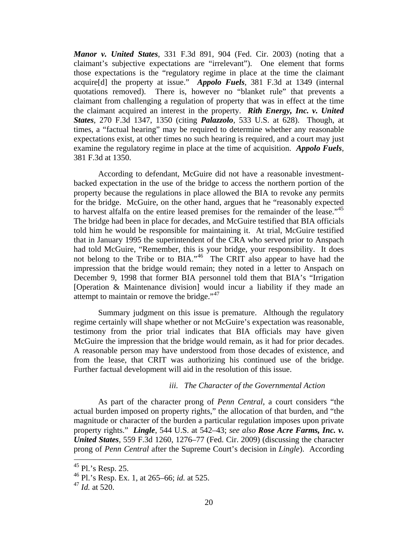*Manor v. United States*, 331 F.3d 891, 904 (Fed. Cir. 2003) (noting that a claimant's subjective expectations are "irrelevant"). One element that forms those expectations is the "regulatory regime in place at the time the claimant acquire[d] the property at issue." *Appolo Fuels*, 381 F.3d at 1349 (internal quotations removed). There is, however no "blanket rule" that prevents a claimant from challenging a regulation of property that was in effect at the time the claimant acquired an interest in the property. *Rith Energy, Inc. v. United States*, 270 F.3d 1347, 1350 (citing *Palazzolo*, 533 U.S. at 628). Though, at times, a "factual hearing" may be required to determine whether any reasonable expectations exist, at other times no such hearing is required, and a court may just examine the regulatory regime in place at the time of acquisition. *Appolo Fuels*, 381 F.3d at 1350.

According to defendant, McGuire did not have a reasonable investmentbacked expectation in the use of the bridge to access the northern portion of the property because the regulations in place allowed the BIA to revoke any permits for the bridge. McGuire, on the other hand, argues that he "reasonably expected to harvest alfalfa on the entire leased premises for the remainder of the lease.<sup>45</sup> The bridge had been in place for decades, and McGuire testified that BIA officials told him he would be responsible for maintaining it. At trial, McGuire testified that in January 1995 the superintendent of the CRA who served prior to Anspach had told McGuire, "Remember, this is your bridge, your responsibility. It does not belong to the Tribe or to BIA."[46](#page-19-1) The CRIT also appear to have had the impression that the bridge would remain; they noted in a letter to Anspach on December 9, 1998 that former BIA personnel told them that BIA's "Irrigation [Operation & Maintenance division] would incur a liability if they made an attempt to maintain or remove the bridge." $47$ 

Summary judgment on this issue is premature. Although the regulatory regime certainly will shape whether or not McGuire's expectation was reasonable, testimony from the prior trial indicates that BIA officials may have given McGuire the impression that the bridge would remain, as it had for prior decades. A reasonable person may have understood from those decades of existence, and from the lease, that CRIT was authorizing his continued use of the bridge. Further factual development will aid in the resolution of this issue.

#### *iii. The Character of the Governmental Action*

As part of the character prong of *Penn Central*, a court considers "the actual burden imposed on property rights," the allocation of that burden, and "the magnitude or character of the burden a particular regulation imposes upon private property rights." *Lingle*, 544 U.S. at 542–43; *see also Rose Acre Farms, Inc. v. United States*, 559 F.3d 1260, 1276–77 (Fed. Cir. 2009) (discussing the character prong of *Penn Central* after the Supreme Court's decision in *Lingle*). According

<span id="page-19-0"></span> $45$  Pl.'s Resp. 25.

<span id="page-19-1"></span><sup>46</sup> Pl.'s Resp. Ex. 1, at 265–66; *id.* at 525.

<span id="page-19-2"></span><sup>47</sup> *Id.* at 520.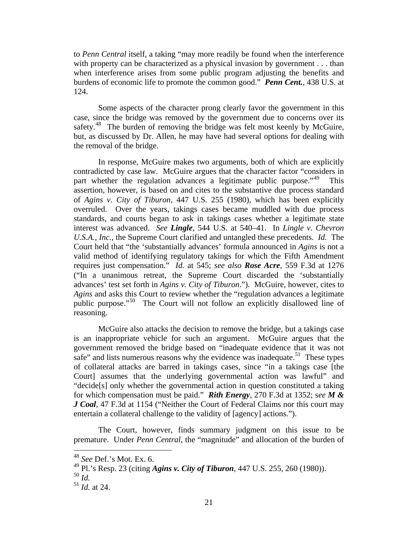to *Penn Central* itself, a taking "may more readily be found when the interference with property can be characterized as a physical invasion by government . . . than when interference arises from some public program adjusting the benefits and burdens of economic life to promote the common good." *Penn Cent.*, 438 U.S. at 124.

Some aspects of the character prong clearly favor the government in this case, since the bridge was removed by the government due to concerns over its safety.<sup>[48](#page-20-0)</sup> The burden of removing the bridge was felt most keenly by McGuire, but, as discussed by Dr. Allen, he may have had several options for dealing with the removal of the bridge.

In response, McGuire makes two arguments, both of which are explicitly contradicted by case law. McGuire argues that the character factor "considers in part whether the regulation advances a legitimate public purpose."<sup>[49](#page-20-1)</sup> This assertion, however, is based on and cites to the substantive due process standard of *Agins v. City of Tiburon*, 447 U.S. 255 (1980), which has been explicitly overruled. Over the years, takings cases became muddled with due process standards, and courts began to ask in takings cases whether a legitimate state interest was advanced. *See Lingle*, 544 U.S. at 540–41. In *Lingle v. Chevron U.S.A., Inc.*, the Supreme Court clarified and untangled these precedents. *Id.* The Court held that "the 'substantially advances' formula announced in *Agins* is not a valid method of identifying regulatory takings for which the Fifth Amendment requires just compensation." *Id.* at 545; *see also Rose Acre*, 559 F.3d at 1276 ("In a unanimous retreat, the Supreme Court discarded the 'substantially advances' test set forth in *Agins v. City of Tiburon*."). McGuire, however, cites to *Agins* and asks this Court to review whether the "regulation advances a legitimate public purpose."[50](#page-20-2) The Court will not follow an explicitly disallowed line of reasoning.

McGuire also attacks the decision to remove the bridge, but a takings case is an inappropriate vehicle for such an argument. McGuire argues that the government removed the bridge based on "inadequate evidence that it was not safe" and lists numerous reasons why the evidence was inadequate.<sup>[51](#page-20-3)</sup> These types of collateral attacks are barred in takings cases, since "in a takings case [the Court] assumes that the underlying governmental action was lawful" and "decide[s] only whether the governmental action in question constituted a taking for which compensation must be paid." *Rith Energy*, 270 F.3d at 1352; s*ee M & J Coal*, 47 F.3d at 1154 ("Neither the Court of Federal Claims nor this court may entertain a collateral challenge to the validity of [agency] actions.").

The Court, however, finds summary judgment on this issue to be premature. Under *Penn Central*, the "magnitude" and allocation of the burden of

1

<span id="page-20-0"></span><sup>48</sup> *See* Def.'s Mot. Ex. 6.

<span id="page-20-1"></span><sup>49</sup> Pl.'s Resp. 23 (citing *Agins v. City of Tiburon*, 447 U.S. 255, 260 (1980)).

<span id="page-20-2"></span><sup>50</sup> *Id.*

<span id="page-20-3"></span> $^{51}$  *Id.* at 24.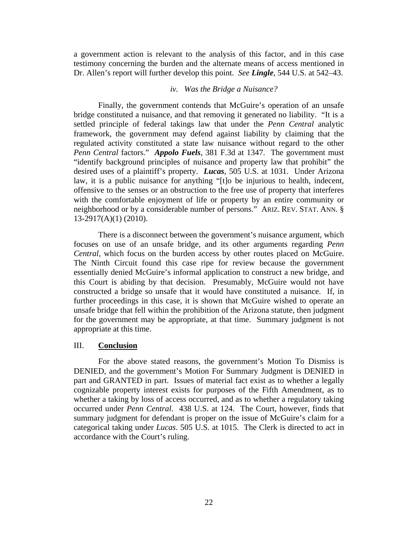a government action is relevant to the analysis of this factor, and in this case testimony concerning the burden and the alternate means of access mentioned in Dr. Allen's report will further develop this point. *See Lingle*, 544 U.S. at 542–43.

# *iv. Was the Bridge a Nuisance?*

Finally, the government contends that McGuire's operation of an unsafe bridge constituted a nuisance, and that removing it generated no liability. "It is a settled principle of federal takings law that under the *Penn Central* analytic framework, the government may defend against liability by claiming that the regulated activity constituted a state law nuisance without regard to the other *Penn Central* factors." *Appolo Fuels*, 381 F.3d at 1347. The government must "identify background principles of nuisance and property law that prohibit" the desired uses of a plaintiff's property. *Lucas*, 505 U.S. at 1031. Under Arizona law, it is a public nuisance for anything "[t]o be injurious to health, indecent, offensive to the senses or an obstruction to the free use of property that interferes with the comfortable enjoyment of life or property by an entire community or neighborhood or by a considerable number of persons." ARIZ. REV. STAT. ANN. § 13-2917(A)(1) (2010).

There is a disconnect between the government's nuisance argument, which focuses on use of an unsafe bridge, and its other arguments regarding *Penn Central*, which focus on the burden access by other routes placed on McGuire. The Ninth Circuit found this case ripe for review because the government essentially denied McGuire's informal application to construct a new bridge, and this Court is abiding by that decision. Presumably, McGuire would not have constructed a bridge so unsafe that it would have constituted a nuisance. If, in further proceedings in this case, it is shown that McGuire wished to operate an unsafe bridge that fell within the prohibition of the Arizona statute, then judgment for the government may be appropriate, at that time. Summary judgment is not appropriate at this time.

## III. **Conclusion**

For the above stated reasons, the government's Motion To Dismiss is DENIED, and the government's Motion For Summary Judgment is DENIED in part and GRANTED in part. Issues of material fact exist as to whether a legally cognizable property interest exists for purposes of the Fifth Amendment, as to whether a taking by loss of access occurred, and as to whether a regulatory taking occurred under *Penn Central*. 438 U.S. at 124. The Court, however, finds that summary judgment for defendant is proper on the issue of McGuire's claim for a categorical taking under *Lucas*. 505 U.S. at 1015. The Clerk is directed to act in accordance with the Court's ruling.